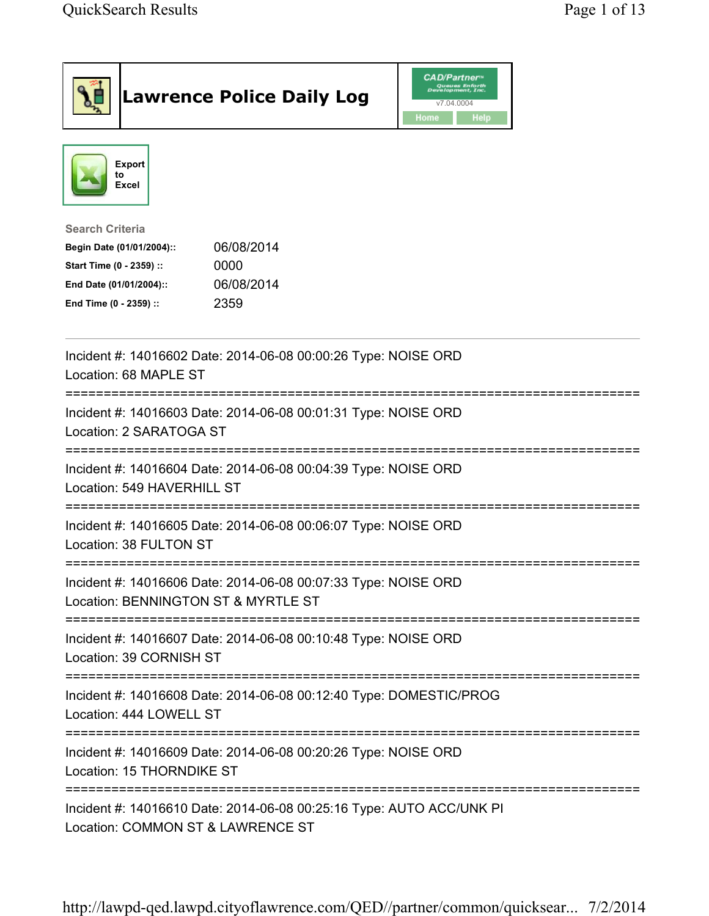| <b>Lawrence Police Daily Log</b>                                                                                                                                                 | <b>CAD/Partner</b> ®<br>Queues Enforth<br>Development, Inc.<br>v7.04.0004<br>Home<br>Help |  |
|----------------------------------------------------------------------------------------------------------------------------------------------------------------------------------|-------------------------------------------------------------------------------------------|--|
| <b>Export</b><br>to<br><b>Excel</b>                                                                                                                                              |                                                                                           |  |
| <b>Search Criteria</b><br>06/08/2014<br>Begin Date (01/01/2004)::<br>Start Time (0 - 2359) ::<br>0000<br>06/08/2014<br>End Date (01/01/2004)::<br>End Time (0 - 2359) ::<br>2359 |                                                                                           |  |
| Incident #: 14016602 Date: 2014-06-08 00:00:26 Type: NOISE ORD<br>Location: 68 MAPLE ST                                                                                          |                                                                                           |  |
| Incident #: 14016603 Date: 2014-06-08 00:01:31 Type: NOISE ORD<br>Location: 2 SARATOGA ST                                                                                        |                                                                                           |  |
| Incident #: 14016604 Date: 2014-06-08 00:04:39 Type: NOISE ORD<br>Location: 549 HAVERHILL ST                                                                                     |                                                                                           |  |
| Incident #: 14016605 Date: 2014-06-08 00:06:07 Type: NOISE ORD<br>Location: 38 FULTON ST                                                                                         |                                                                                           |  |
| Incident #: 14016606 Date: 2014-06-08 00:07:33 Type: NOISE ORD<br>Location: BENNINGTON ST & MYRTLE ST                                                                            |                                                                                           |  |
| Incident #: 14016607 Date: 2014-06-08 00:10:48 Type: NOISE ORD<br>Location: 39 CORNISH ST                                                                                        |                                                                                           |  |
| Incident #: 14016608 Date: 2014-06-08 00:12:40 Type: DOMESTIC/PROG<br>Location: 444 LOWELL ST                                                                                    |                                                                                           |  |
| Incident #: 14016609 Date: 2014-06-08 00:20:26 Type: NOISE ORD<br>Location: 15 THORNDIKE ST                                                                                      |                                                                                           |  |
| Incident #: 14016610 Date: 2014-06-08 00:25:16 Type: AUTO ACC/UNK PI<br>Location: COMMON ST & LAWRENCE ST                                                                        |                                                                                           |  |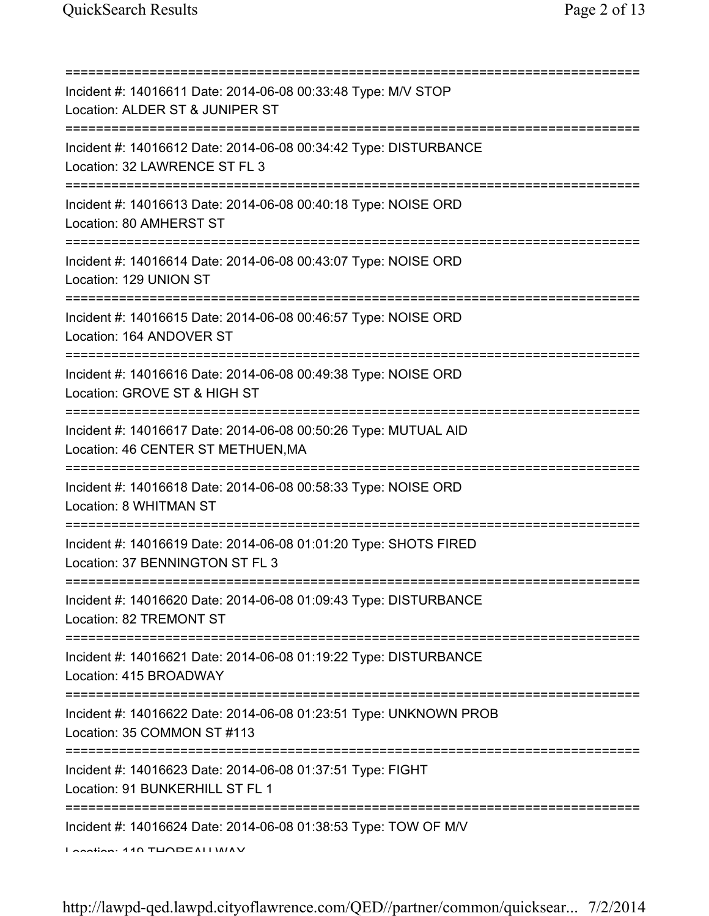| Incident #: 14016611 Date: 2014-06-08 00:33:48 Type: M/V STOP<br>Location: ALDER ST & JUNIPER ST                                                                                                                                                                                                 |
|--------------------------------------------------------------------------------------------------------------------------------------------------------------------------------------------------------------------------------------------------------------------------------------------------|
| =========================<br>Incident #: 14016612 Date: 2014-06-08 00:34:42 Type: DISTURBANCE<br>Location: 32 LAWRENCE ST FL 3                                                                                                                                                                   |
| =========================<br>Incident #: 14016613 Date: 2014-06-08 00:40:18 Type: NOISE ORD<br>Location: 80 AMHERST ST                                                                                                                                                                           |
| Incident #: 14016614 Date: 2014-06-08 00:43:07 Type: NOISE ORD<br>Location: 129 UNION ST                                                                                                                                                                                                         |
| =====================================<br>Incident #: 14016615 Date: 2014-06-08 00:46:57 Type: NOISE ORD<br>Location: 164 ANDOVER ST                                                                                                                                                              |
| Incident #: 14016616 Date: 2014-06-08 00:49:38 Type: NOISE ORD<br>Location: GROVE ST & HIGH ST                                                                                                                                                                                                   |
| Incident #: 14016617 Date: 2014-06-08 00:50:26 Type: MUTUAL AID<br>Location: 46 CENTER ST METHUEN, MA                                                                                                                                                                                            |
| Incident #: 14016618 Date: 2014-06-08 00:58:33 Type: NOISE ORD<br>Location: 8 WHITMAN ST                                                                                                                                                                                                         |
| Incident #: 14016619 Date: 2014-06-08 01:01:20 Type: SHOTS FIRED<br>Location: 37 BENNINGTON ST FL 3                                                                                                                                                                                              |
| Incident #: 14016620 Date: 2014-06-08 01:09:43 Type: DISTURBANCE<br>Location: 82 TREMONT ST                                                                                                                                                                                                      |
| Incident #: 14016621 Date: 2014-06-08 01:19:22 Type: DISTURBANCE<br>Location: 415 BROADWAY                                                                                                                                                                                                       |
| =====================================<br>Incident #: 14016622 Date: 2014-06-08 01:23:51 Type: UNKNOWN PROB<br>Location: 35 COMMON ST #113                                                                                                                                                        |
| ===================================<br>Incident #: 14016623 Date: 2014-06-08 01:37:51 Type: FIGHT<br>Location: 91 BUNKERHILL ST FL 1                                                                                                                                                             |
| Incident #: 14016624 Date: 2014-06-08 01:38:53 Type: TOW OF M/V<br>$I$ and $I$ and $I$ and $I$ and $I$ and $I$ and $I$ and $I$ and $I$ and $I$ and $I$ and $I$ and $I$ and $I$ and $I$ and $I$ and $I$ and $I$ and $I$ and $I$ and $I$ and $I$ and $I$ and $I$ and $I$ and $I$ and $I$ and $I$ a |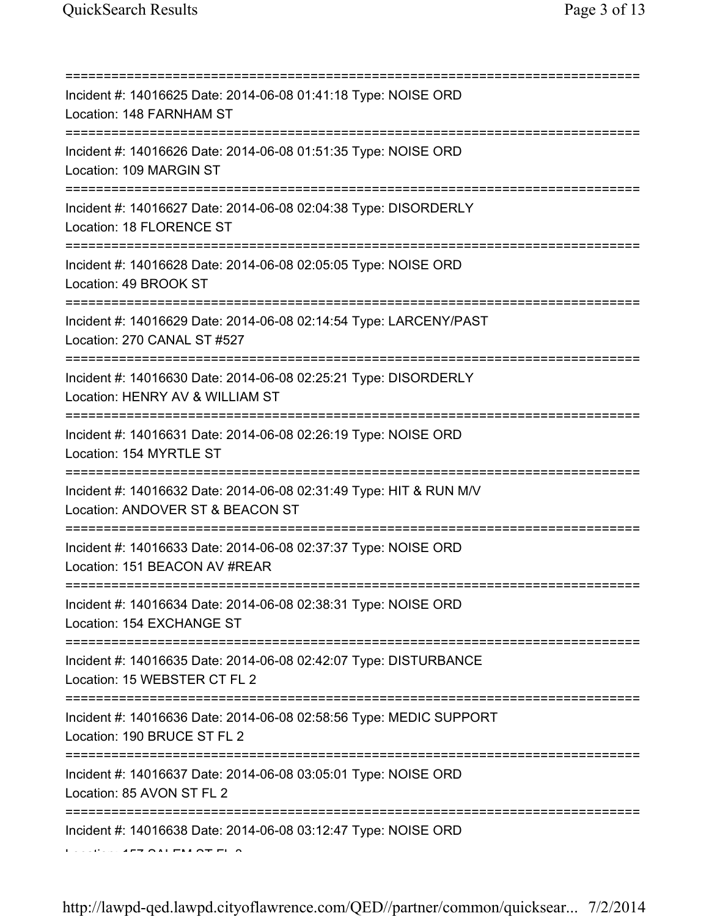| Incident #: 14016625 Date: 2014-06-08 01:41:18 Type: NOISE ORD<br>Location: 148 FARNHAM ST                                               |
|------------------------------------------------------------------------------------------------------------------------------------------|
| Incident #: 14016626 Date: 2014-06-08 01:51:35 Type: NOISE ORD<br>Location: 109 MARGIN ST<br>_________________________________           |
| Incident #: 14016627 Date: 2014-06-08 02:04:38 Type: DISORDERLY<br>Location: 18 FLORENCE ST<br>=======================                   |
| Incident #: 14016628 Date: 2014-06-08 02:05:05 Type: NOISE ORD<br>Location: 49 BROOK ST                                                  |
| Incident #: 14016629 Date: 2014-06-08 02:14:54 Type: LARCENY/PAST<br>Location: 270 CANAL ST #527                                         |
| Incident #: 14016630 Date: 2014-06-08 02:25:21 Type: DISORDERLY<br>Location: HENRY AV & WILLIAM ST                                       |
| Incident #: 14016631 Date: 2014-06-08 02:26:19 Type: NOISE ORD<br>Location: 154 MYRTLE ST                                                |
| Incident #: 14016632 Date: 2014-06-08 02:31:49 Type: HIT & RUN M/V<br>Location: ANDOVER ST & BEACON ST                                   |
| Incident #: 14016633 Date: 2014-06-08 02:37:37 Type: NOISE ORD<br>Location: 151 BEACON AV #REAR                                          |
| Incident #: 14016634 Date: 2014-06-08 02:38:31 Type: NOISE ORD<br>Location: 154 EXCHANGE ST                                              |
| Incident #: 14016635 Date: 2014-06-08 02:42:07 Type: DISTURBANCE<br>Location: 15 WEBSTER CT FL 2                                         |
| :==================================<br>Incident #: 14016636 Date: 2014-06-08 02:58:56 Type: MEDIC SUPPORT<br>Location: 190 BRUCE ST FL 2 |
| Incident #: 14016637 Date: 2014-06-08 03:05:01 Type: NOISE ORD<br>Location: 85 AVON ST FL 2                                              |
| Incident #: 14016638 Date: 2014-06-08 03:12:47 Type: NOISE ORD                                                                           |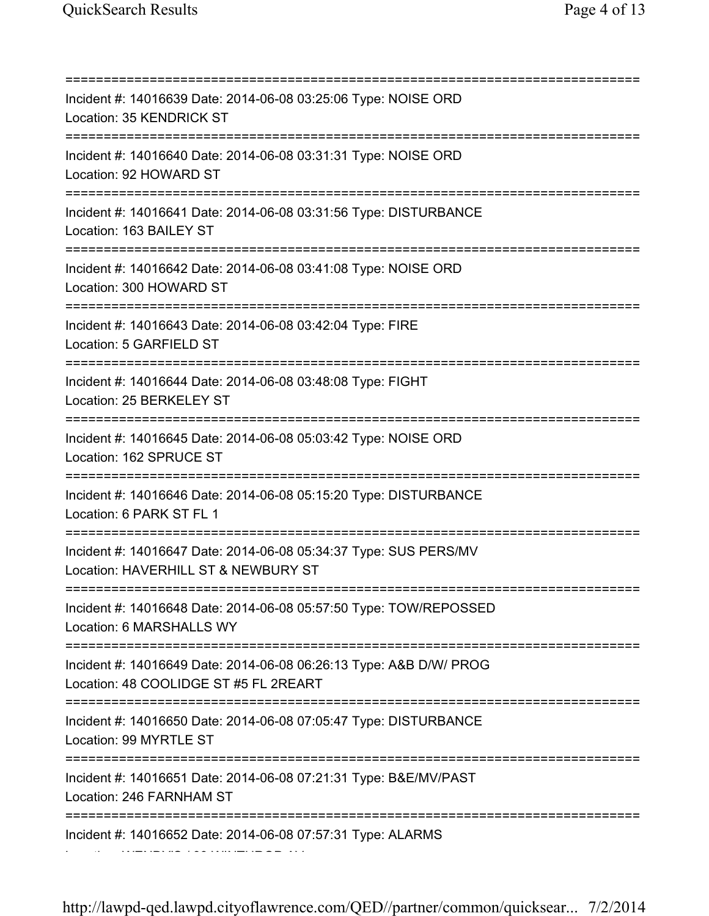=========================================================================== Incident #: 14016639 Date: 2014-06-08 03:25:06 Type: NOISE ORD Location: 35 KENDRICK ST =========================================================================== Incident #: 14016640 Date: 2014-06-08 03:31:31 Type: NOISE ORD Location: 92 HOWARD ST =========================================================================== Incident #: 14016641 Date: 2014-06-08 03:31:56 Type: DISTURBANCE Location: 163 BAILEY ST =========================================================================== Incident #: 14016642 Date: 2014-06-08 03:41:08 Type: NOISE ORD Location: 300 HOWARD ST =========================================================================== Incident #: 14016643 Date: 2014-06-08 03:42:04 Type: FIRE Location: 5 GARFIELD ST =========================================================================== Incident #: 14016644 Date: 2014-06-08 03:48:08 Type: FIGHT Location: 25 BERKELEY ST =========================================================================== Incident #: 14016645 Date: 2014-06-08 05:03:42 Type: NOISE ORD Location: 162 SPRUCE ST =========================================================================== Incident #: 14016646 Date: 2014-06-08 05:15:20 Type: DISTURBANCE Location: 6 PARK ST FL 1 =========================================================================== Incident #: 14016647 Date: 2014-06-08 05:34:37 Type: SUS PERS/MV Location: HAVERHILL ST & NEWBURY ST =========================================================================== Incident #: 14016648 Date: 2014-06-08 05:57:50 Type: TOW/REPOSSED Location: 6 MARSHALLS WY =========================================================================== Incident #: 14016649 Date: 2014-06-08 06:26:13 Type: A&B D/W/ PROG Location: 48 COOLIDGE ST #5 FL 2REART =========================================================================== Incident #: 14016650 Date: 2014-06-08 07:05:47 Type: DISTURBANCE Location: 99 MYRTLE ST =========================================================================== Incident #: 14016651 Date: 2014-06-08 07:21:31 Type: B&E/MV/PAST Location: 246 FARNHAM ST =========================================================================== Incident #: 14016652 Date: 2014-06-08 07:57:31 Type: ALARMS Location: WENDY'S / 99 WINTHROP AV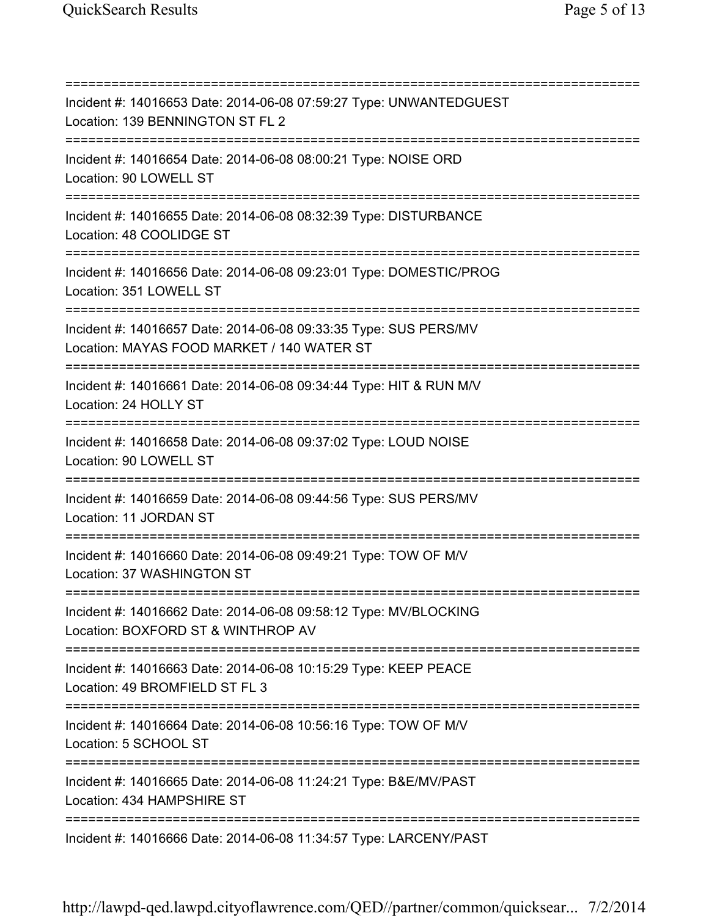=========================================================================== Incident #: 14016653 Date: 2014-06-08 07:59:27 Type: UNWANTEDGUEST Location: 139 BENNINGTON ST FL 2 =========================================================================== Incident #: 14016654 Date: 2014-06-08 08:00:21 Type: NOISE ORD Location: 90 LOWELL ST =========================================================================== Incident #: 14016655 Date: 2014-06-08 08:32:39 Type: DISTURBANCE Location: 48 COOLIDGE ST =========================================================================== Incident #: 14016656 Date: 2014-06-08 09:23:01 Type: DOMESTIC/PROG Location: 351 LOWELL ST =========================================================================== Incident #: 14016657 Date: 2014-06-08 09:33:35 Type: SUS PERS/MV Location: MAYAS FOOD MARKET / 140 WATER ST =========================================================================== Incident #: 14016661 Date: 2014-06-08 09:34:44 Type: HIT & RUN M/V Location: 24 HOLLY ST =========================================================================== Incident #: 14016658 Date: 2014-06-08 09:37:02 Type: LOUD NOISE Location: 90 LOWELL ST =========================================================================== Incident #: 14016659 Date: 2014-06-08 09:44:56 Type: SUS PERS/MV Location: 11 JORDAN ST =========================================================================== Incident #: 14016660 Date: 2014-06-08 09:49:21 Type: TOW OF M/V Location: 37 WASHINGTON ST =========================================================================== Incident #: 14016662 Date: 2014-06-08 09:58:12 Type: MV/BLOCKING Location: BOXFORD ST & WINTHROP AV =========================================================================== Incident #: 14016663 Date: 2014-06-08 10:15:29 Type: KEEP PEACE Location: 49 BROMFIELD ST FL 3 =========================================================================== Incident #: 14016664 Date: 2014-06-08 10:56:16 Type: TOW OF M/V Location: 5 SCHOOL ST =========================================================================== Incident #: 14016665 Date: 2014-06-08 11:24:21 Type: B&E/MV/PAST Location: 434 HAMPSHIRE ST =========================================================================== Incident #: 14016666 Date: 2014-06-08 11:34:57 Type: LARCENY/PAST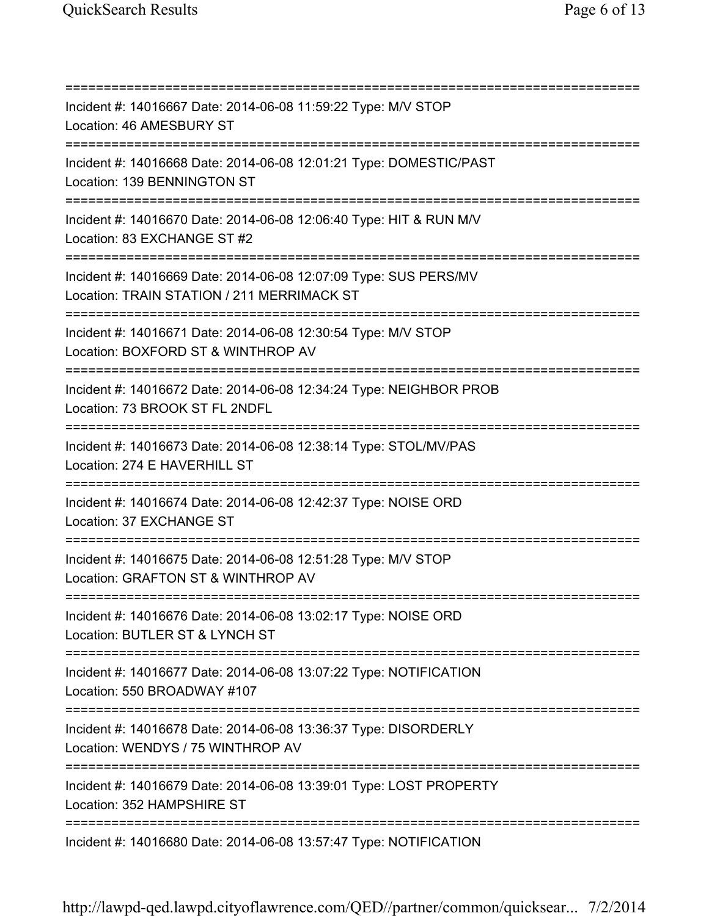=========================================================================== Incident #: 14016667 Date: 2014-06-08 11:59:22 Type: M/V STOP Location: 46 AMESBURY ST =========================================================================== Incident #: 14016668 Date: 2014-06-08 12:01:21 Type: DOMESTIC/PAST Location: 139 BENNINGTON ST =========================================================================== Incident #: 14016670 Date: 2014-06-08 12:06:40 Type: HIT & RUN M/V Location: 83 EXCHANGE ST #2 =========================================================================== Incident #: 14016669 Date: 2014-06-08 12:07:09 Type: SUS PERS/MV Location: TRAIN STATION / 211 MERRIMACK ST =========================================================================== Incident #: 14016671 Date: 2014-06-08 12:30:54 Type: M/V STOP Location: BOXFORD ST & WINTHROP AV =========================================================================== Incident #: 14016672 Date: 2014-06-08 12:34:24 Type: NEIGHBOR PROB Location: 73 BROOK ST FL 2NDFL =========================================================================== Incident #: 14016673 Date: 2014-06-08 12:38:14 Type: STOL/MV/PAS Location: 274 E HAVERHILL ST =========================================================================== Incident #: 14016674 Date: 2014-06-08 12:42:37 Type: NOISE ORD Location: 37 EXCHANGE ST =========================================================================== Incident #: 14016675 Date: 2014-06-08 12:51:28 Type: M/V STOP Location: GRAFTON ST & WINTHROP AV =========================================================================== Incident #: 14016676 Date: 2014-06-08 13:02:17 Type: NOISE ORD Location: BUTLER ST & LYNCH ST =========================================================================== Incident #: 14016677 Date: 2014-06-08 13:07:22 Type: NOTIFICATION Location: 550 BROADWAY #107 =========================================================================== Incident #: 14016678 Date: 2014-06-08 13:36:37 Type: DISORDERLY Location: WENDYS / 75 WINTHROP AV =========================================================================== Incident #: 14016679 Date: 2014-06-08 13:39:01 Type: LOST PROPERTY Location: 352 HAMPSHIRE ST =========================================================================== Incident #: 14016680 Date: 2014-06-08 13:57:47 Type: NOTIFICATION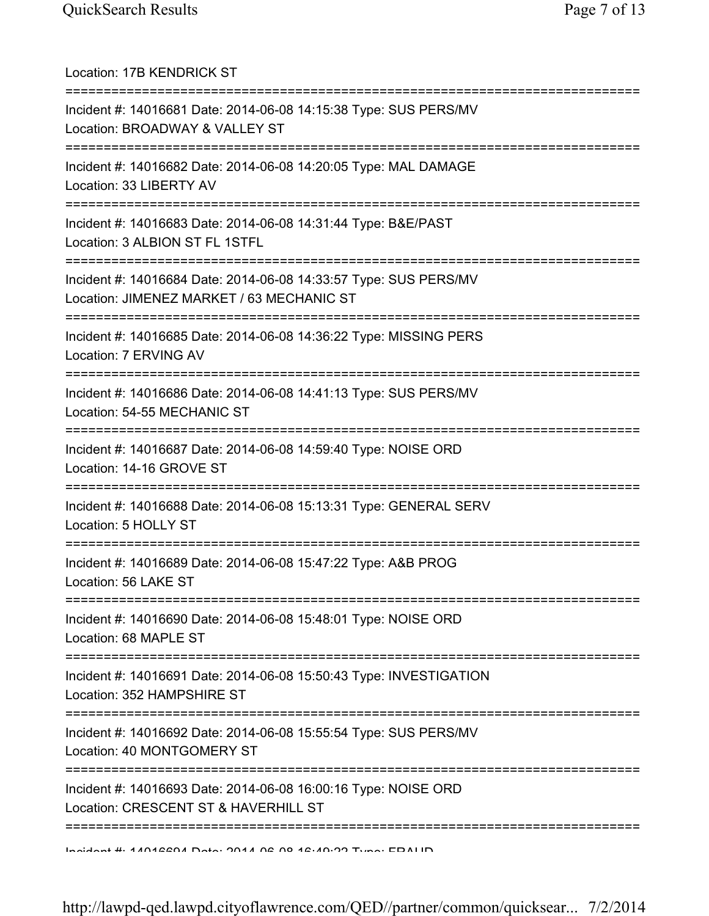| Location: 17B KENDRICK ST                                                                                                      |
|--------------------------------------------------------------------------------------------------------------------------------|
| Incident #: 14016681 Date: 2014-06-08 14:15:38 Type: SUS PERS/MV<br>Location: BROADWAY & VALLEY ST<br>:=====================   |
| Incident #: 14016682 Date: 2014-06-08 14:20:05 Type: MAL DAMAGE<br>Location: 33 LIBERTY AV                                     |
| Incident #: 14016683 Date: 2014-06-08 14:31:44 Type: B&E/PAST<br>Location: 3 ALBION ST FL 1STFL                                |
| Incident #: 14016684 Date: 2014-06-08 14:33:57 Type: SUS PERS/MV<br>Location: JIMENEZ MARKET / 63 MECHANIC ST                  |
| Incident #: 14016685 Date: 2014-06-08 14:36:22 Type: MISSING PERS<br>Location: 7 ERVING AV<br>==============================   |
| Incident #: 14016686 Date: 2014-06-08 14:41:13 Type: SUS PERS/MV<br>Location: 54-55 MECHANIC ST                                |
| Incident #: 14016687 Date: 2014-06-08 14:59:40 Type: NOISE ORD<br>Location: 14-16 GROVE ST                                     |
| Incident #: 14016688 Date: 2014-06-08 15:13:31 Type: GENERAL SERV<br>Location: 5 HOLLY ST                                      |
| Incident #: 14016689 Date: 2014-06-08 15:47:22 Type: A&B PROG<br>Location: 56 LAKE ST                                          |
| ===================================<br>Incident #: 14016690 Date: 2014-06-08 15:48:01 Type: NOISE ORD<br>Location: 68 MAPLE ST |
| Incident #: 14016691 Date: 2014-06-08 15:50:43 Type: INVESTIGATION<br>Location: 352 HAMPSHIRE ST                               |
| Incident #: 14016692 Date: 2014-06-08 15:55:54 Type: SUS PERS/MV<br>Location: 40 MONTGOMERY ST                                 |
| Incident #: 14016693 Date: 2014-06-08 16:00:16 Type: NOISE ORD<br>Location: CRESCENT ST & HAVERHILL ST                         |
| Insident #: 11012201 Data: 2014 02:00 12:10:22 Tune: EDALID                                                                    |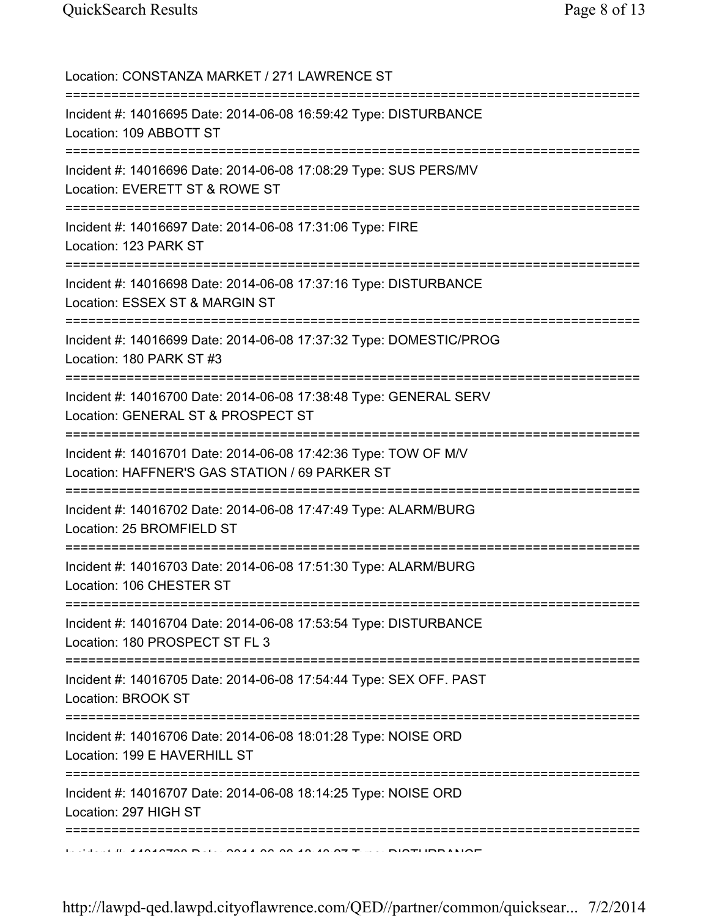Location: CONSTANZA MARKET / 271 LAWRENCE ST =========================================================================== Incident #: 14016695 Date: 2014-06-08 16:59:42 Type: DISTURBANCE Location: 109 ABBOTT ST =========================================================================== Incident #: 14016696 Date: 2014-06-08 17:08:29 Type: SUS PERS/MV Location: EVERETT ST & ROWE ST =========================================================================== Incident #: 14016697 Date: 2014-06-08 17:31:06 Type: FIRE Location: 123 PARK ST =========================================================================== Incident #: 14016698 Date: 2014-06-08 17:37:16 Type: DISTURBANCE Location: ESSEX ST & MARGIN ST =========================================================================== Incident #: 14016699 Date: 2014-06-08 17:37:32 Type: DOMESTIC/PROG Location: 180 PARK ST #3 =========================================================================== Incident #: 14016700 Date: 2014-06-08 17:38:48 Type: GENERAL SERV Location: GENERAL ST & PROSPECT ST =========================================================================== Incident #: 14016701 Date: 2014-06-08 17:42:36 Type: TOW OF M/V Location: HAFFNER'S GAS STATION / 69 PARKER ST =========================================================================== Incident #: 14016702 Date: 2014-06-08 17:47:49 Type: ALARM/BURG Location: 25 BROMFIELD ST =========================================================================== Incident #: 14016703 Date: 2014-06-08 17:51:30 Type: ALARM/BURG Location: 106 CHESTER ST =========================================================================== Incident #: 14016704 Date: 2014-06-08 17:53:54 Type: DISTURBANCE Location: 180 PROSPECT ST FL 3 =========================================================================== Incident #: 14016705 Date: 2014-06-08 17:54:44 Type: SEX OFF. PAST Location: BROOK ST =========================================================================== Incident #: 14016706 Date: 2014-06-08 18:01:28 Type: NOISE ORD Location: 199 E HAVERHILL ST =========================================================================== Incident #: 14016707 Date: 2014-06-08 18:14:25 Type: NOISE ORD Location: 297 HIGH ST ===========================================================================  $\mathbf{1}_{\mathbf{1}}$   $\mathbf{1}_{\mathbf{2}}$   $\mathbf{1}_{\mathbf{3}}$   $\mathbf{1}_{\mathbf{4}}$   $\mathbf{1}_{\mathbf{5}}$   $\mathbf{0}_{\mathbf{6}}$   $\mathbf{1}_{\mathbf{5}}$   $\mathbf{1}_{\mathbf{6}}$   $\mathbf{1}_{\mathbf{6}}$   $\mathbf{1}_{\mathbf{6}}$   $\mathbf{1}_{\mathbf{6}}$   $\mathbf{1}_{\mathbf{6}}$   $\mathbf{1}_{\mathbf{6}}$   $\mathbf{1}_{\mathbf{6}}$   $\mathbf{1}_{\mathbf{$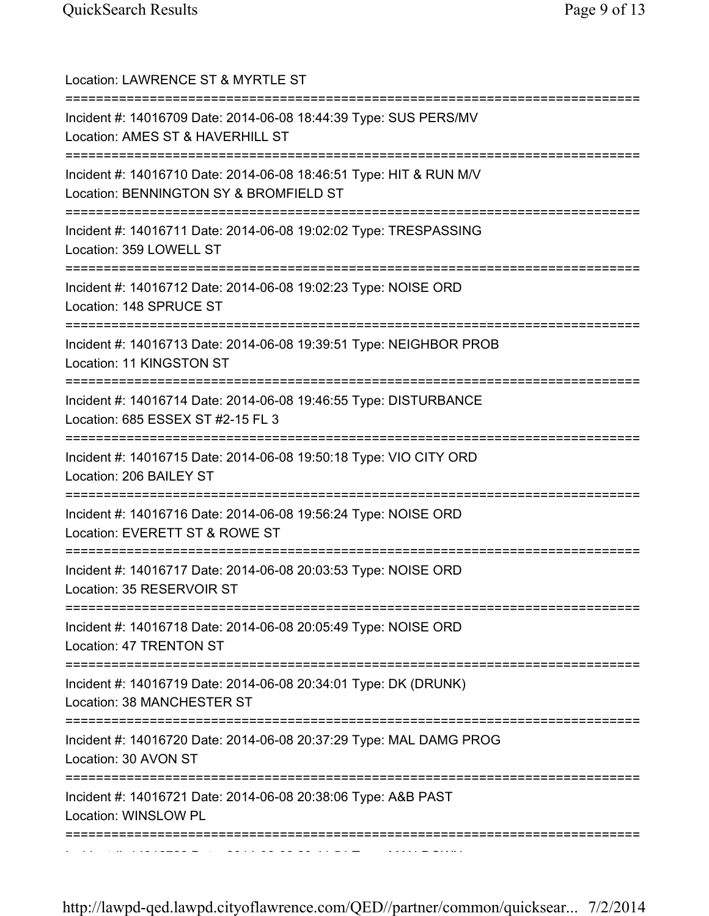| Location: LAWRENCE ST & MYRTLE ST<br>==================================                                                                                     |
|-------------------------------------------------------------------------------------------------------------------------------------------------------------|
| Incident #: 14016709 Date: 2014-06-08 18:44:39 Type: SUS PERS/MV<br>Location: AMES ST & HAVERHILL ST<br>======================                              |
| Incident #: 14016710 Date: 2014-06-08 18:46:51 Type: HIT & RUN M/V<br>Location: BENNINGTON SY & BROMFIELD ST                                                |
| Incident #: 14016711 Date: 2014-06-08 19:02:02 Type: TRESPASSING<br>Location: 359 LOWELL ST                                                                 |
| Incident #: 14016712 Date: 2014-06-08 19:02:23 Type: NOISE ORD<br>Location: 148 SPRUCE ST                                                                   |
| Incident #: 14016713 Date: 2014-06-08 19:39:51 Type: NEIGHBOR PROB<br>Location: 11 KINGSTON ST                                                              |
| Incident #: 14016714 Date: 2014-06-08 19:46:55 Type: DISTURBANCE<br>Location: 685 ESSEX ST #2-15 FL 3<br>=========================<br>:===========          |
| Incident #: 14016715 Date: 2014-06-08 19:50:18 Type: VIO CITY ORD<br>Location: 206 BAILEY ST<br>============================                                |
| Incident #: 14016716 Date: 2014-06-08 19:56:24 Type: NOISE ORD<br>Location: EVERETT ST & ROWE ST                                                            |
| Incident #: 14016717 Date: 2014-06-08 20:03:53 Type: NOISE ORD<br>Location: 35 RESERVOIR ST                                                                 |
| =====================================<br>=====================<br>Incident #: 14016718 Date: 2014-06-08 20:05:49 Type: NOISE ORD<br>Location: 47 TRENTON ST |
| ;=================<br>Incident #: 14016719 Date: 2014-06-08 20:34:01 Type: DK (DRUNK)<br>Location: 38 MANCHESTER ST                                         |
| ==========<br>Incident #: 14016720 Date: 2014-06-08 20:37:29 Type: MAL DAMG PROG<br>Location: 30 AVON ST                                                    |
| =====================<br>Incident #: 14016721 Date: 2014-06-08 20:38:06 Type: A&B PAST<br>Location: WINSLOW PL                                              |
|                                                                                                                                                             |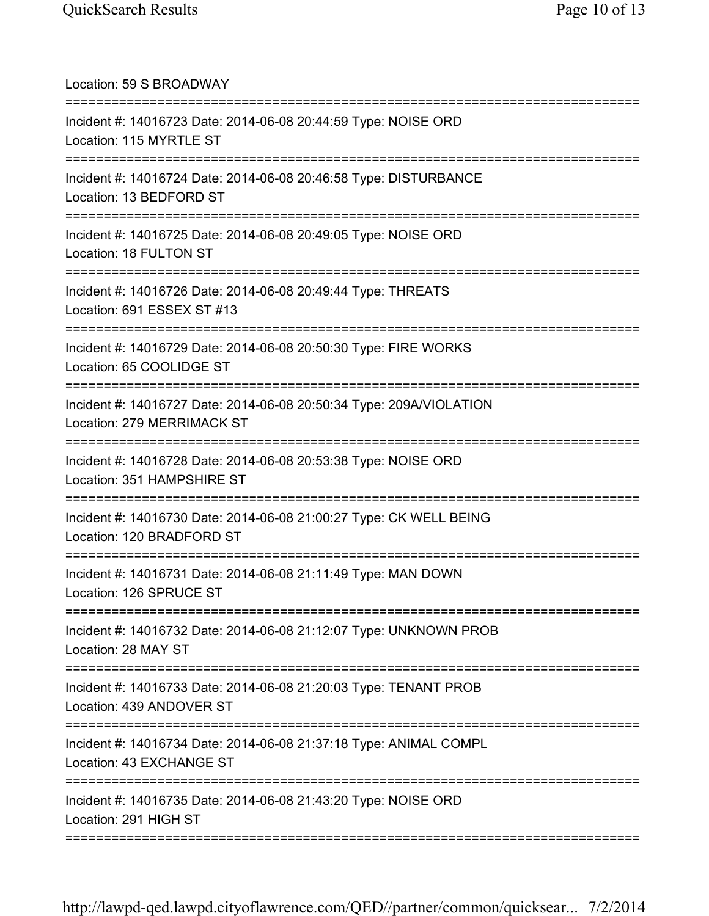| Location: 59 S BROADWAY                                                                                                           |
|-----------------------------------------------------------------------------------------------------------------------------------|
| Incident #: 14016723 Date: 2014-06-08 20:44:59 Type: NOISE ORD<br>Location: 115 MYRTLE ST                                         |
| Incident #: 14016724 Date: 2014-06-08 20:46:58 Type: DISTURBANCE<br>Location: 13 BEDFORD ST                                       |
| Incident #: 14016725 Date: 2014-06-08 20:49:05 Type: NOISE ORD<br>Location: 18 FULTON ST<br>===================================== |
| Incident #: 14016726 Date: 2014-06-08 20:49:44 Type: THREATS<br>Location: 691 ESSEX ST #13                                        |
| Incident #: 14016729 Date: 2014-06-08 20:50:30 Type: FIRE WORKS<br>Location: 65 COOLIDGE ST                                       |
| Incident #: 14016727 Date: 2014-06-08 20:50:34 Type: 209A/VIOLATION<br>Location: 279 MERRIMACK ST                                 |
| Incident #: 14016728 Date: 2014-06-08 20:53:38 Type: NOISE ORD<br>Location: 351 HAMPSHIRE ST                                      |
| Incident #: 14016730 Date: 2014-06-08 21:00:27 Type: CK WELL BEING<br>Location: 120 BRADFORD ST                                   |
| Incident #: 14016731 Date: 2014-06-08 21:11:49 Type: MAN DOWN<br>Location: 126 SPRUCE ST                                          |
| Incident #: 14016732 Date: 2014-06-08 21:12:07 Type: UNKNOWN PROB<br>Location: 28 MAY ST                                          |
| Incident #: 14016733 Date: 2014-06-08 21:20:03 Type: TENANT PROB<br>Location: 439 ANDOVER ST                                      |
| Incident #: 14016734 Date: 2014-06-08 21:37:18 Type: ANIMAL COMPL<br>Location: 43 EXCHANGE ST                                     |
| Incident #: 14016735 Date: 2014-06-08 21:43:20 Type: NOISE ORD<br>Location: 291 HIGH ST                                           |
|                                                                                                                                   |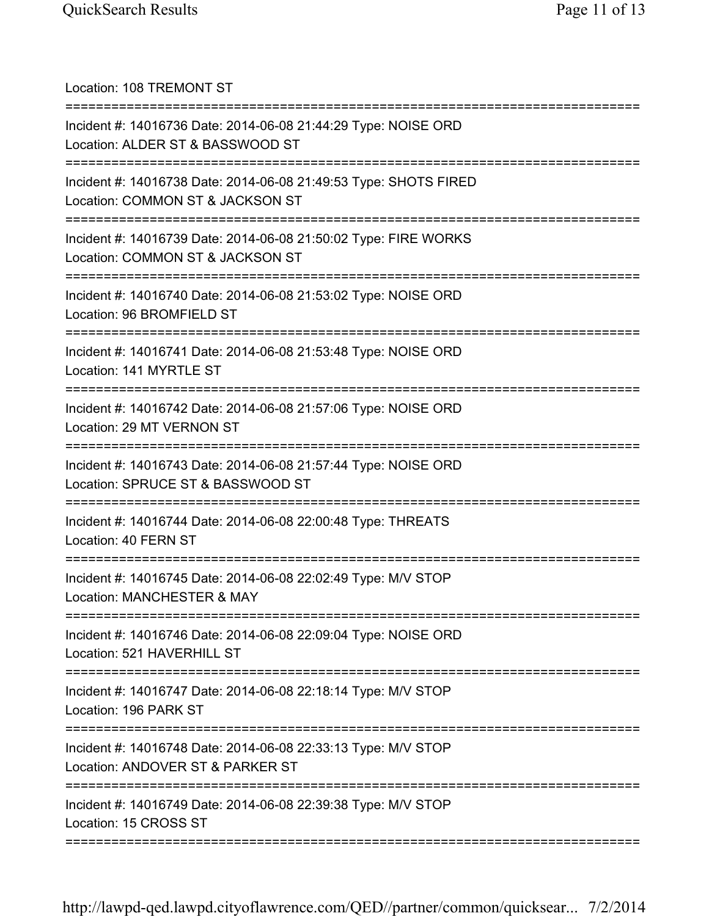| Location: 108 TREMONT ST                                                                                                         |
|----------------------------------------------------------------------------------------------------------------------------------|
| Incident #: 14016736 Date: 2014-06-08 21:44:29 Type: NOISE ORD<br>Location: ALDER ST & BASSWOOD ST                               |
| Incident #: 14016738 Date: 2014-06-08 21:49:53 Type: SHOTS FIRED<br>Location: COMMON ST & JACKSON ST<br>:======================= |
| Incident #: 14016739 Date: 2014-06-08 21:50:02 Type: FIRE WORKS<br>Location: COMMON ST & JACKSON ST<br>:=====================    |
| Incident #: 14016740 Date: 2014-06-08 21:53:02 Type: NOISE ORD<br>Location: 96 BROMFIELD ST                                      |
| Incident #: 14016741 Date: 2014-06-08 21:53:48 Type: NOISE ORD<br>Location: 141 MYRTLE ST                                        |
| Incident #: 14016742 Date: 2014-06-08 21:57:06 Type: NOISE ORD<br>Location: 29 MT VERNON ST                                      |
| Incident #: 14016743 Date: 2014-06-08 21:57:44 Type: NOISE ORD<br>Location: SPRUCE ST & BASSWOOD ST                              |
| Incident #: 14016744 Date: 2014-06-08 22:00:48 Type: THREATS<br>Location: 40 FERN ST                                             |
| Incident #: 14016745 Date: 2014-06-08 22:02:49 Type: M/V STOP<br>Location: MANCHESTER & MAY                                      |
| Incident #: 14016746 Date: 2014-06-08 22:09:04 Type: NOISE ORD<br>Location: 521 HAVERHILL ST                                     |
| Incident #: 14016747 Date: 2014-06-08 22:18:14 Type: M/V STOP<br>Location: 196 PARK ST                                           |
| Incident #: 14016748 Date: 2014-06-08 22:33:13 Type: M/V STOP<br>Location: ANDOVER ST & PARKER ST                                |
| Incident #: 14016749 Date: 2014-06-08 22:39:38 Type: M/V STOP<br>Location: 15 CROSS ST                                           |
|                                                                                                                                  |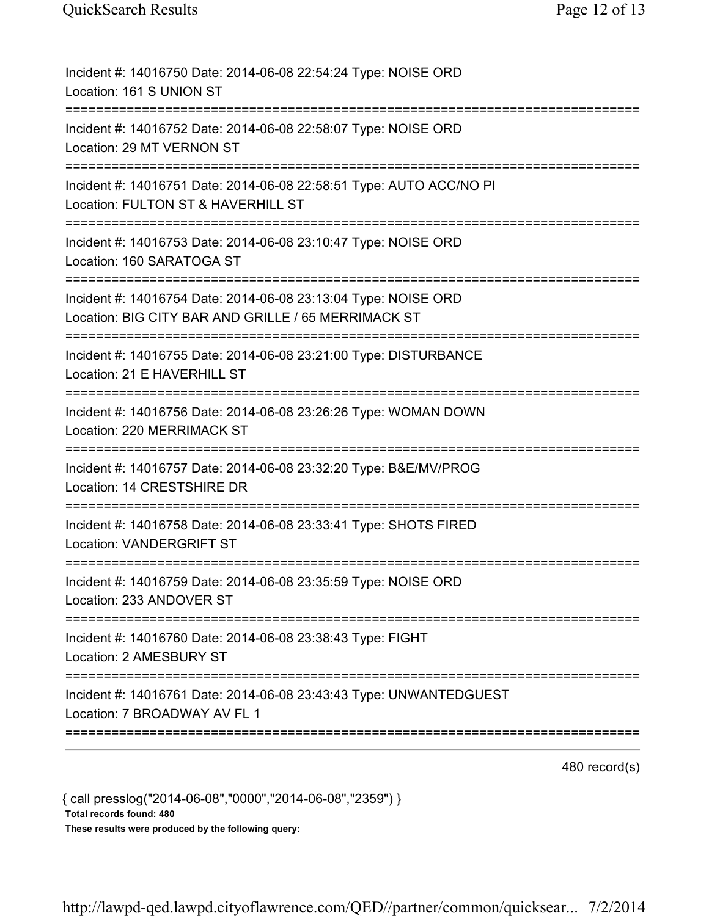| Incident #: 14016750 Date: 2014-06-08 22:54:24 Type: NOISE ORD<br>Location: 161 S UNION ST                                 |
|----------------------------------------------------------------------------------------------------------------------------|
| Incident #: 14016752 Date: 2014-06-08 22:58:07 Type: NOISE ORD<br>Location: 29 MT VERNON ST                                |
| Incident #: 14016751 Date: 2014-06-08 22:58:51 Type: AUTO ACC/NO PI<br>Location: FULTON ST & HAVERHILL ST                  |
| Incident #: 14016753 Date: 2014-06-08 23:10:47 Type: NOISE ORD<br>Location: 160 SARATOGA ST                                |
| Incident #: 14016754 Date: 2014-06-08 23:13:04 Type: NOISE ORD<br>Location: BIG CITY BAR AND GRILLE / 65 MERRIMACK ST      |
| Incident #: 14016755 Date: 2014-06-08 23:21:00 Type: DISTURBANCE<br>Location: 21 E HAVERHILL ST                            |
| Incident #: 14016756 Date: 2014-06-08 23:26:26 Type: WOMAN DOWN<br>Location: 220 MERRIMACK ST<br>========================= |
| Incident #: 14016757 Date: 2014-06-08 23:32:20 Type: B&E/MV/PROG<br>Location: 14 CRESTSHIRE DR<br>===============          |
| Incident #: 14016758 Date: 2014-06-08 23:33:41 Type: SHOTS FIRED<br><b>Location: VANDERGRIFT ST</b>                        |
| Incident #: 14016759 Date: 2014-06-08 23:35:59 Type: NOISE ORD<br>Location: 233 ANDOVER ST                                 |
| Incident #: 14016760 Date: 2014-06-08 23:38:43 Type: FIGHT<br>Location: 2 AMESBURY ST                                      |
| Incident #: 14016761 Date: 2014-06-08 23:43:43 Type: UNWANTEDGUEST<br>Location: 7 BROADWAY AV FL 1                         |
|                                                                                                                            |

480 record(s)

{ call presslog("2014-06-08","0000","2014-06-08","2359") } Total records found: 480

These results were produced by the following query: